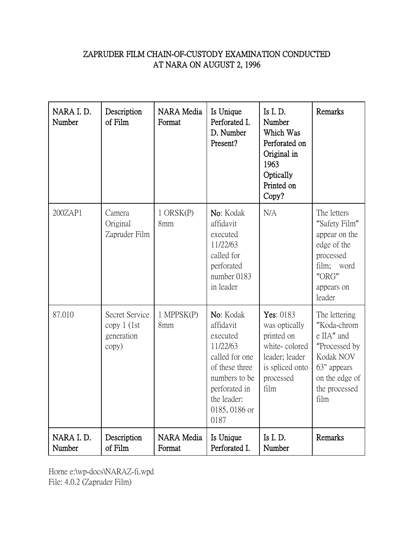## ZAPRUDER FILM CHAIN-OF-CUSTODY EXAMINATION CONDUCTED AT NARA ON AUGUST 2, 1996

| NARA I.D.<br>Number | Description<br>of Film                               | <b>NARA</b> Media<br>Format | Is Unique<br>Perforated I.<br>D. Number<br>Present?                                                                                                          | Is I. D.<br>Number<br>Which Was<br>Perforated on<br>Original in<br>1963<br>Optically<br>Printed on<br>Copy?         | <b>Remarks</b>                                                                                                                     |
|---------------------|------------------------------------------------------|-----------------------------|--------------------------------------------------------------------------------------------------------------------------------------------------------------|---------------------------------------------------------------------------------------------------------------------|------------------------------------------------------------------------------------------------------------------------------------|
| 200ZAP1             | Camera<br>Original<br>Zapruder Film                  | $1$ ORSK $(P)$<br>8mm       | No: Kodak<br>affidavit<br>executed<br>11/22/63<br>called for<br>perforated<br>number 0183<br>in leader                                                       | N/A                                                                                                                 | The letters<br>"Safety Film"<br>appear on the<br>edge of the<br>processed<br>film; word<br>"ORG"<br>appears on<br>leader           |
| 87.010              | Secret Service<br>copy 1 (1st<br>generation<br>copy) | 1 MPPSK(P)<br>8mm           | No: Kodak<br>affidavit<br>executed<br>11/22/63<br>called for one<br>of these three<br>numbers to be<br>perforated in<br>the leader:<br>0185, 0186 or<br>0187 | Yes: 0183<br>was optically<br>printed on<br>white-colored<br>leader; leader<br>is spliced onto<br>processed<br>film | The lettering<br>"Koda-chrom<br>e IIA" and<br>"Processed by<br>Kodak NOV<br>63" appears<br>on the edge of<br>the processed<br>film |
| NARA I.D.<br>Number | Description<br>of Film                               | <b>NARA</b> Media<br>Format | Is Unique<br>Perforated I.                                                                                                                                   | Is $I. D.$<br>Number                                                                                                | <b>Remarks</b>                                                                                                                     |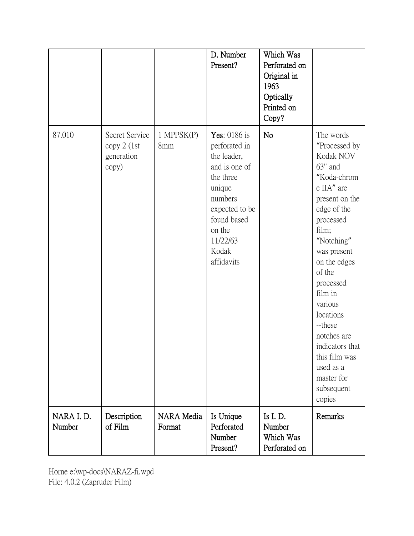|                     |                                                      |                        | D. Number<br>Present?                                                                                                                                                                | Which Was<br>Perforated on<br>Original in<br>1963<br>Optically<br>Printed on<br>Copy? |                                                                                                                                                                                                                                                                                                                                                                  |
|---------------------|------------------------------------------------------|------------------------|--------------------------------------------------------------------------------------------------------------------------------------------------------------------------------------|---------------------------------------------------------------------------------------|------------------------------------------------------------------------------------------------------------------------------------------------------------------------------------------------------------------------------------------------------------------------------------------------------------------------------------------------------------------|
| 87.010              | Secret Service<br>copy 2 (1st<br>generation<br>copy) | $1$ MPPS $K(P)$<br>8mm | <b>Yes:</b> 0186 is<br>perforated in<br>the leader,<br>and is one of<br>the three<br>unique<br>numbers<br>expected to be<br>found based<br>on the<br>11/22/63<br>Kodak<br>affidavits | No                                                                                    | The words<br>"Processed by<br>Kodak NOV<br>$63"$ and<br>"Koda-chrom<br>e IIA" are<br>present on the<br>edge of the<br>processed<br>film;<br>"Notching"<br>was present<br>on the edges<br>of the<br>processed<br>film in<br>various<br>locations<br>--these<br>notches are<br>indicators that<br>this film was<br>used as a<br>master for<br>subsequent<br>copies |
| NARA I.D.<br>Number | Description<br>of Film                               | NARA Media<br>Format   | Is Unique<br>Perforated<br>Number<br>Present?                                                                                                                                        | Is I.D.<br>Number<br>Which Was<br>Perforated on                                       | Remarks                                                                                                                                                                                                                                                                                                                                                          |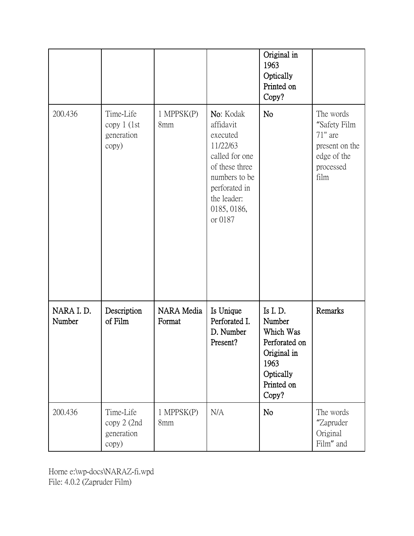|                     |                                                   |                      |                                                                                                                                                               | Original in<br>1963<br>Optically<br>Printed on<br>Copy?                                                    |                                                                                              |
|---------------------|---------------------------------------------------|----------------------|---------------------------------------------------------------------------------------------------------------------------------------------------------------|------------------------------------------------------------------------------------------------------------|----------------------------------------------------------------------------------------------|
| 200.436             | Time-Life<br>copy $1$ (1st<br>generation<br>copy) | 1 MPPSK(P)<br>8mm    | No: Kodak<br>affidavit<br>executed<br>11/22/63<br>called for one<br>of these three<br>numbers to be<br>perforated in<br>the leader:<br>0185, 0186,<br>or 0187 | N <sub>o</sub>                                                                                             | The words<br>"Safety Film<br>$71"$ are<br>present on the<br>edge of the<br>processed<br>film |
| NARA I.D.<br>Number | Description<br>of Film                            | NARA Media<br>Format | Is Unique<br>Perforated I.<br>D. Number<br>Present?                                                                                                           | Is I.D.<br>Number<br>Which Was<br>Perforated on<br>Original in<br>1963<br>Optically<br>Printed on<br>Copy? | Remarks                                                                                      |
| 200.436             | Time-Life<br>copy 2 (2nd<br>generation<br>copy)   | 1 MPPSK(P)<br>8mm    | N/A                                                                                                                                                           | No                                                                                                         | The words<br>"Zapruder<br>Original<br>Film" and                                              |